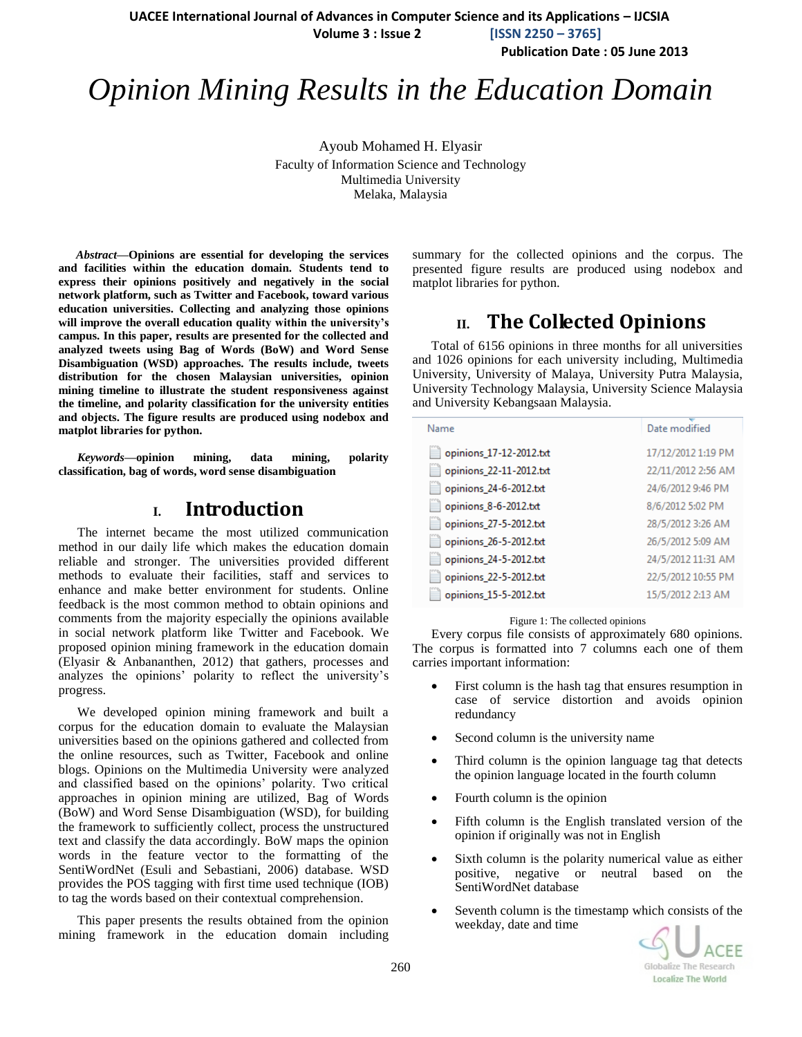**UACEE International Journal of Advances in Computer Science and its Applications – IJCSIA**

 **Volume 3 : Issue 2 [ISSN 2250 – 3765]**

**Publication Date : 05 June 2013**

# *Opinion Mining Results in the Education Domain*

Ayoub Mohamed H. Elyasir Faculty of Information Science and Technology Multimedia University Melaka, Malaysia

*Abstract***—Opinions are essential for developing the services and facilities within the education domain. Students tend to express their opinions positively and negatively in the social network platform, such as Twitter and Facebook, toward various education universities. Collecting and analyzing those opinions will improve the overall education quality within the university's campus. In this paper, results are presented for the collected and analyzed tweets using Bag of Words (BoW) and Word Sense Disambiguation (WSD) approaches. The results include, tweets distribution for the chosen Malaysian universities, opinion mining timeline to illustrate the student responsiveness against the timeline, and polarity classification for the university entities and objects. The figure results are produced using nodebox and matplot libraries for python.** 

*Keywords—***opinion mining, data mining, polarity classification, bag of words, word sense disambiguation** 

# **I. Introduction**

The internet became the most utilized communication method in our daily life which makes the education domain reliable and stronger. The universities provided different methods to evaluate their facilities, staff and services to enhance and make better environment for students. Online feedback is the most common method to obtain opinions and comments from the majority especially the opinions available in social network platform like Twitter and Facebook. We proposed opinion mining framework in the education domain (Elyasir & Anbananthen, 2012) that gathers, processes and analyzes the opinions' polarity to reflect the university's progress.

We developed opinion mining framework and built a corpus for the education domain to evaluate the Malaysian universities based on the opinions gathered and collected from the online resources, such as Twitter, Facebook and online blogs. Opinions on the Multimedia University were analyzed and classified based on the opinions' polarity. Two critical approaches in opinion mining are utilized, Bag of Words (BoW) and Word Sense Disambiguation (WSD), for building the framework to sufficiently collect, process the unstructured text and classify the data accordingly. BoW maps the opinion words in the feature vector to the formatting of the SentiWordNet (Esuli and Sebastiani, 2006) database. WSD provides the POS tagging with first time used technique (IOB) to tag the words based on their contextual comprehension.

This paper presents the results obtained from the opinion mining framework in the education domain including summary for the collected opinions and the corpus. The presented figure results are produced using nodebox and matplot libraries for python.

# **II. The Collected Opinions**

Total of 6156 opinions in three months for all universities and 1026 opinions for each university including, Multimedia University, University of Malaya, University Putra Malaysia, University Technology Malaysia, University Science Malaysia and University Kebangsaan Malaysia.

| Name                    | Date modified      |
|-------------------------|--------------------|
| opinions 17-12-2012.txt | 17/12/2012 1:19 PM |
| opinions_22-11-2012.txt | 22/11/2012 2:56 AM |
| opinions_24-6-2012.txt  | 24/6/2012 9:46 PM  |
| opinions_8-6-2012.txt   | 8/6/2012 5:02 PM   |
| opinions_27-5-2012.txt  | 28/5/2012 3:26 AM  |
| opinions_26-5-2012.txt  | 26/5/2012 5:09 AM  |
| opinions_24-5-2012.txt  | 24/5/2012 11:31 AM |
| opinions_22-5-2012.txt  | 22/5/2012 10:55 PM |
| opinions_15-5-2012.txt  | 15/5/2012 2:13 AM  |

Figure 1: The collected opinions

Every corpus file consists of approximately 680 opinions. The corpus is formatted into 7 columns each one of them carries important information:

- First column is the hash tag that ensures resumption in case of service distortion and avoids opinion redundancy
- Second column is the university name
- Third column is the opinion language tag that detects the opinion language located in the fourth column
- Fourth column is the opinion
- Fifth column is the English translated version of the opinion if originally was not in English
- Sixth column is the polarity numerical value as either positive, negative or neutral based on the SentiWordNet database
- Seventh column is the timestamp which consists of the weekday, date and time

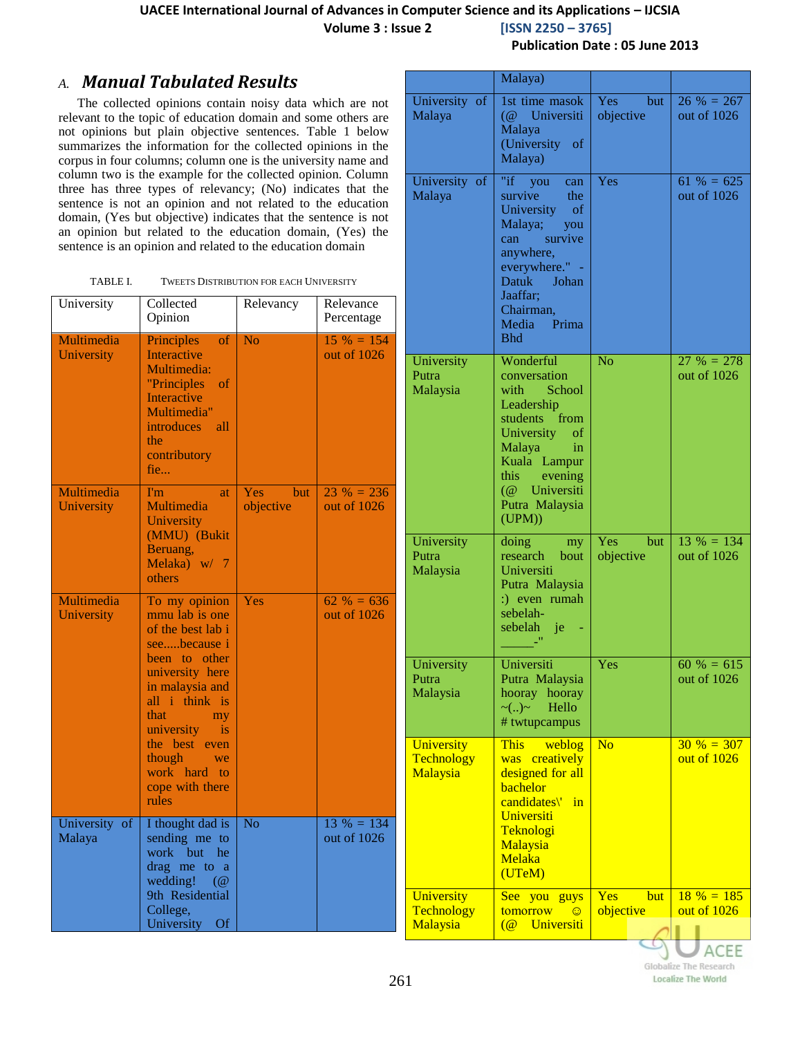**Volume 3 : Issue 2 [ISSN 2250 – 3765]**

### *A. Manual Tabulated Results*

The collected opinions contain noisy data which are not relevant to the topic of education domain and some others are not opinions but plain objective sentences. Table 1 below summarizes the information for the collected opinions in the corpus in four columns; column one is the university name and column two is the example for the collected opinion. Column three has three types of relevancy; (No) indicates that the sentence is not an opinion and not related to the education domain, (Yes but objective) indicates that the sentence is not an opinion but related to the education domain, (Yes) the sentence is an opinion and related to the education domain

| TABLE I. | <b>TWEETS DISTRIBUTION FOR EACH UNIVERSITY</b> |
|----------|------------------------------------------------|
|          |                                                |

| University               | Collected<br>Opinion                                                                                                                                                                                                                                                              | Relevancy                      | Relevance<br>Percentage     |                                                       |
|--------------------------|-----------------------------------------------------------------------------------------------------------------------------------------------------------------------------------------------------------------------------------------------------------------------------------|--------------------------------|-----------------------------|-------------------------------------------------------|
| Multimedia<br>University | <b>Principles</b><br><sub>of</sub><br>Interactive<br>Multimedia:<br>"Principles"<br>$\overline{\text{of}}$<br>Interactive<br>Multimedia"<br><i>introduces</i><br>all<br>the.<br>contributory<br>fie                                                                               | N <sub>o</sub>                 | $15\% = 154$<br>out of 1026 | U<br>$P_1$<br>M                                       |
| Multimedia<br>University | I'm<br><b>at</b><br>Multimedia<br>University<br>(MMU) (Bukit<br>Beruang,<br>Melaka) $w/7$<br>others                                                                                                                                                                               | <b>Yes</b><br>but<br>objective | $23% = 236$<br>out of 1026  | $\overline{U}$<br>$P_1$<br>M                          |
| Multimedia<br>University | To my opinion<br>mmu lab is one<br>of the best lab i<br>seebecause i<br>been to other<br>university here<br>in malaysia and<br>all i think is<br>that<br>my<br>university<br>$\overline{\mathbf{1}}$<br>the best even<br>though<br>we<br>work hard to<br>cope with there<br>rules | Yes                            | $62\% = 636$<br>out of 1026 | U<br>$P_1$<br>M<br>U<br>T)<br>$\overline{\mathsf{M}}$ |
| University of<br>Malaya  | I thought dad is<br>sending me to<br>work but he<br>drag me to a<br>wedding!<br>$\overline{a}$<br>9th Residential<br>College,<br>University Of                                                                                                                                    | $\overline{No}$                | $13\% = 134$<br>out of 1026 | $\overline{U}$<br>T٥<br>$\overline{\mathsf{M}}$       |

**Publication Date : 05 June 2013**

| 1st time masok<br><b>Yes</b><br>University of<br>but<br>Malaya<br><b>Universiti</b><br>objective<br>$\overline{a}$<br>Malaya<br>(University of<br>Malaya)<br>Yes<br>"if you can<br>$61\% = 625$<br>University of<br>Malaya<br>survive<br>the<br>University<br>of<br>Malaya;<br>you<br>can survive<br>anywhere,<br>everywhere." -<br>Datuk<br>Johan<br>Jaaffar:<br>Chairman,<br>Media Prima<br><b>Bhd</b><br>Wonderful<br>N <sub>o</sub><br>University<br>Putra<br>conversation<br>Malaysia<br>with School<br>Leadership<br>students from<br>University of<br>Malaya<br>in<br>Kuala Lampur<br>this.<br>evening<br>(@ Universiti<br>Putra Malaysia<br>(UPM))<br>Yes<br>but<br>University<br>doing<br>my<br>Putra<br>research<br>objective<br>bout<br>Malaysia<br>Universiti<br>Putra Malaysia<br>:) even rumah<br>sebelah-<br>sebelah je | Malaya) |                                |
|----------------------------------------------------------------------------------------------------------------------------------------------------------------------------------------------------------------------------------------------------------------------------------------------------------------------------------------------------------------------------------------------------------------------------------------------------------------------------------------------------------------------------------------------------------------------------------------------------------------------------------------------------------------------------------------------------------------------------------------------------------------------------------------------------------------------------------------|---------|--------------------------------|
|                                                                                                                                                                                                                                                                                                                                                                                                                                                                                                                                                                                                                                                                                                                                                                                                                                        |         | $26 \% = 267$<br>out of 1026   |
|                                                                                                                                                                                                                                                                                                                                                                                                                                                                                                                                                                                                                                                                                                                                                                                                                                        |         | out of 1026                    |
|                                                                                                                                                                                                                                                                                                                                                                                                                                                                                                                                                                                                                                                                                                                                                                                                                                        |         | $27 \% = 278$<br>out of $1026$ |
|                                                                                                                                                                                                                                                                                                                                                                                                                                                                                                                                                                                                                                                                                                                                                                                                                                        | -"      | $13\% = 134$<br>out of 1026    |
| Universiti<br>University<br>Yes<br>Putra Malaysia<br>Putra<br>Malaysia<br>hooray hooray<br>Hello<br>$\sim (.) \sim$<br># twtupcampus                                                                                                                                                                                                                                                                                                                                                                                                                                                                                                                                                                                                                                                                                                   |         | $60 \% = 615$<br>out of 1026   |
| No<br>University<br>weblog<br><b>This</b><br>Technology<br>creatively<br>was<br>designed for all<br>Malaysia<br>bachelor<br>candidates\'<br>in<br>Universiti<br>Teknologi<br>Malaysia<br>Melaka<br>(UTeM)                                                                                                                                                                                                                                                                                                                                                                                                                                                                                                                                                                                                                              |         | $30 \% = 307$<br>out of $1026$ |
| <b>Yes</b><br>but<br>University<br>See you<br>guys<br>Technology<br>objective<br>tomorrow<br>$\odot$<br>Malaysia<br>$\overline{a}$<br>Universiti                                                                                                                                                                                                                                                                                                                                                                                                                                                                                                                                                                                                                                                                                       |         | $18 \% = 185$<br>out of $1026$ |

Globalize The Research **Localize The World**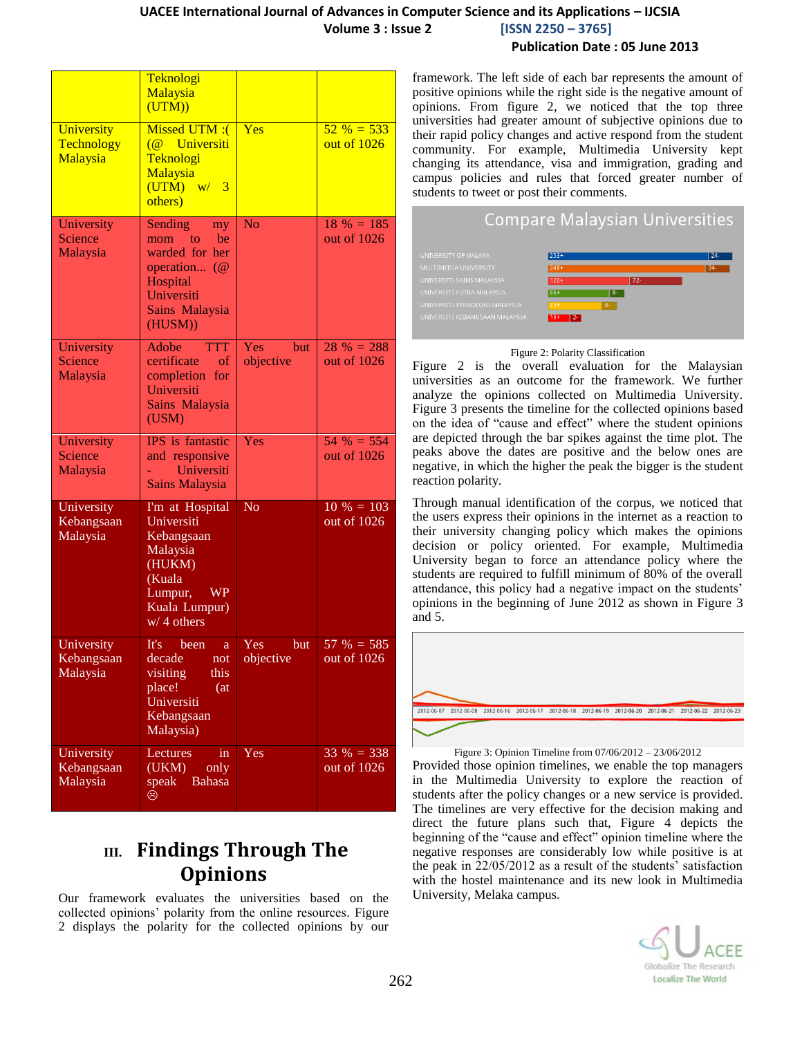|                                      | Teknologi<br>Malaysia<br>(UTM))                                                                                                      |                         |                              |
|--------------------------------------|--------------------------------------------------------------------------------------------------------------------------------------|-------------------------|------------------------------|
| University<br>Technology<br>Malaysia | Missed UTM :(<br>$\overline{a}$<br>Universiti<br>Teknologi<br>Malaysia<br>(UTM)<br>w/3<br>others)                                    | Yes                     | $52\% = 533$<br>out of 1026  |
| University<br>Science<br>Malaysia    | Sending<br>my<br>to<br>be<br>mom<br>warded for her<br>operation (@<br>Hospital<br>Universiti<br>Sains Malaysia<br>(HUSM))            | $\overline{\text{No}}$  | $18 \% = 185$<br>out of 1026 |
| University<br>Science<br>Malaysia    | Adobe<br><b>TTT</b><br>certificate<br>of<br>completion<br>for<br>Universiti<br>Sains Malaysia<br>(USM)                               | Yes<br>but<br>objective | $28 \% = 288$<br>out of 1026 |
| University<br>Science<br>Malaysia    | IPS is fantastic<br>and responsive<br>Universiti<br><b>Sains Malaysia</b>                                                            | Yes                     | $54 \% = 554$<br>out of 1026 |
| University<br>Kebangsaan<br>Malaysia | I'm at Hospital<br>Universiti<br>Kebangsaan<br>Malaysia<br>(HUKM)<br>(Kuala<br><b>WP</b><br>Lumpur,<br>Kuala Lumpur)<br>$w/4$ others | <b>No</b>               | $10 \% = 103$<br>out of 1026 |
| University<br>Kebangsaan<br>Malaysia | It's<br>been<br>a<br>decade<br>not<br>visiting<br>this<br>place!<br>(at<br>Universiti<br>Kebangsaan<br>Malaysia)                     | Yes<br>but<br>objective | $57 \% = 585$<br>out of 1026 |
| University<br>Kebangsaan<br>Malaysia | Lectures<br>in<br>(UKM)<br>only<br><b>Bahasa</b><br>speak<br>☺                                                                       | Yes                     | $33 \% = 338$<br>out of 1026 |

# **III. Findings Through The Opinions**

Our framework evaluates the universities based on the collected opinions' polarity from the online resources. Figure 2 displays the polarity for the collected opinions by our

framework. The left side of each bar represents the amount of positive opinions while the right side is the negative amount of opinions. From figure 2, we noticed that the top three universities had greater amount of subjective opinions due to their rapid policy changes and active respond from the student community. For example, Multimedia University kept changing its attendance, visa and immigration, grading and campus policies and rules that forced greater number of students to tweet or post their comments.

# **Compare Malaysian Universities**



#### Figure 2: Polarity Classification

Figure 2 is the overall evaluation for the Malaysian universities as an outcome for the framework. We further analyze the opinions collected on Multimedia University. Figure 3 presents the timeline for the collected opinions based on the idea of "cause and effect" where the student opinions are depicted through the bar spikes against the time plot. The peaks above the dates are positive and the below ones are negative, in which the higher the peak the bigger is the student reaction polarity.

Through manual identification of the corpus, we noticed that the users express their opinions in the internet as a reaction to their university changing policy which makes the opinions decision or policy oriented. For example, Multimedia University began to force an attendance policy where the students are required to fulfill minimum of 80% of the overall attendance, this policy had a negative impact on the students' opinions in the beginning of June 2012 as shown in Figure 3 and 5.



#### Figure 3: Opinion Timeline from 07/06/2012 – 23/06/2012

Provided those opinion timelines, we enable the top managers in the Multimedia University to explore the reaction of students after the policy changes or a new service is provided. The timelines are very effective for the decision making and direct the future plans such that, Figure 4 depicts the beginning of the "cause and effect" opinion timeline where the negative responses are considerably low while positive is at the peak in 22/05/2012 as a result of the students' satisfaction with the hostel maintenance and its new look in Multimedia University, Melaka campus.

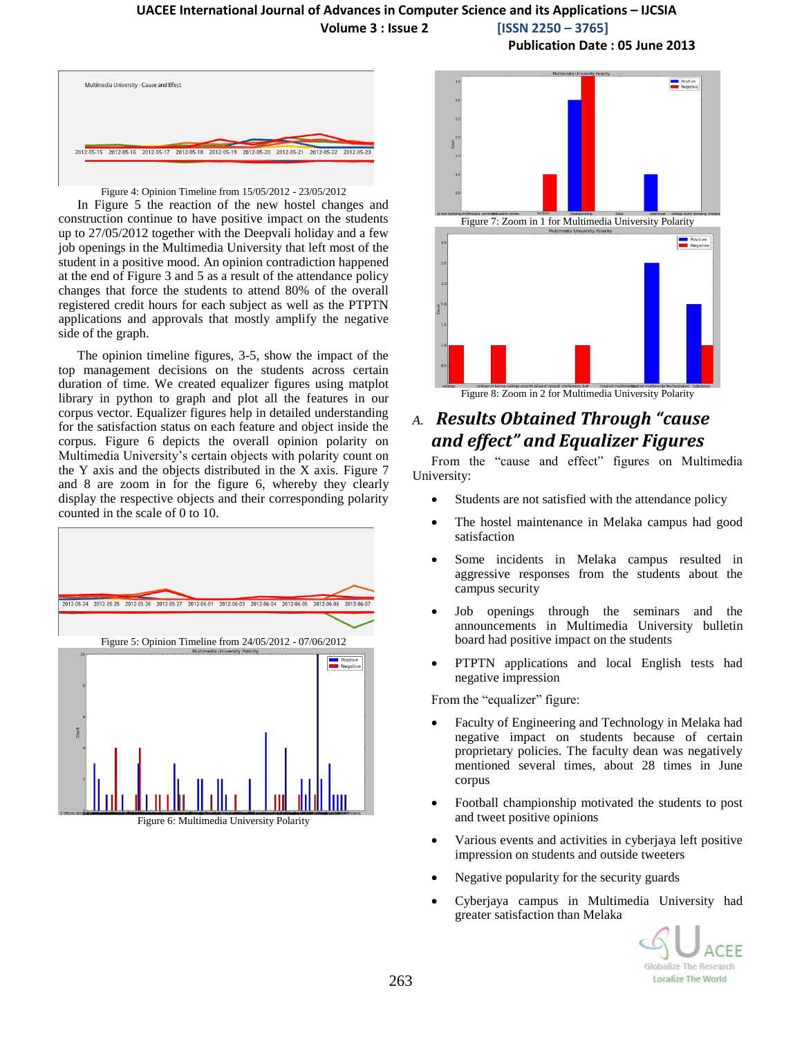#### **UACEE International Journal of Advances in Computer Science and its Applications – IJCSIA Volume 3 : Issue 2 [ISSN 2250 – 3765]**



Multimedia University - Cause and Effect 2012-05-15 2012-05-16 2012-05-17 2012-05-18 2012-05-19 2012-05-20 2012-05-21 2012-05-22 2012-05-

#### Figure 4: Opinion Timeline from 15/05/2012 - 23/05/2012

In Figure 5 the reaction of the new hostel changes and construction continue to have positive impact on the students up to 27/05/2012 together with the Deepvali holiday and a few job openings in the Multimedia University that left most of the student in a positive mood. An opinion contradiction happened at the end of Figure 3 and 5 as a result of the attendance policy changes that force the students to attend 80% of the overall registered credit hours for each subject as well as the PTPTN applications and approvals that mostly amplify the negative side of the graph.

The opinion timeline figures, 3-5, show the impact of the top management decisions on the students across certain duration of time. We created equalizer figures using matplot library in python to graph and plot all the features in our corpus vector. Equalizer figures help in detailed understanding for the satisfaction status on each feature and object inside the corpus. Figure 6 depicts the overall opinion polarity on Multimedia University's certain objects with polarity count on the Y axis and the objects distributed in the X axis. Figure 7 and 8 are zoom in for the figure 6, whereby they clearly display the respective objects and their corresponding polarity counted in the scale of 0 to 10.







## *A. Results Obtained Through "cause and effect" and Equalizer Figures*

From the "cause and effect" figures on Multimedia University:

- Students are not satisfied with the attendance policy
- The hostel maintenance in Melaka campus had good satisfaction
- Some incidents in Melaka campus resulted in aggressive responses from the students about the campus security
- Job openings through the seminars and the announcements in Multimedia University bulletin board had positive impact on the students
- PTPTN applications and local English tests had negative impression

From the "equalizer" figure:

- Faculty of Engineering and Technology in Melaka had negative impact on students because of certain proprietary policies. The faculty dean was negatively mentioned several times, about 28 times in June corpus
- Football championship motivated the students to post and tweet positive opinions
- Various events and activities in cyberjaya left positive impression on students and outside tweeters
- Negative popularity for the security guards
- Cyberjaya campus in Multimedia University had greater satisfaction than Melaka